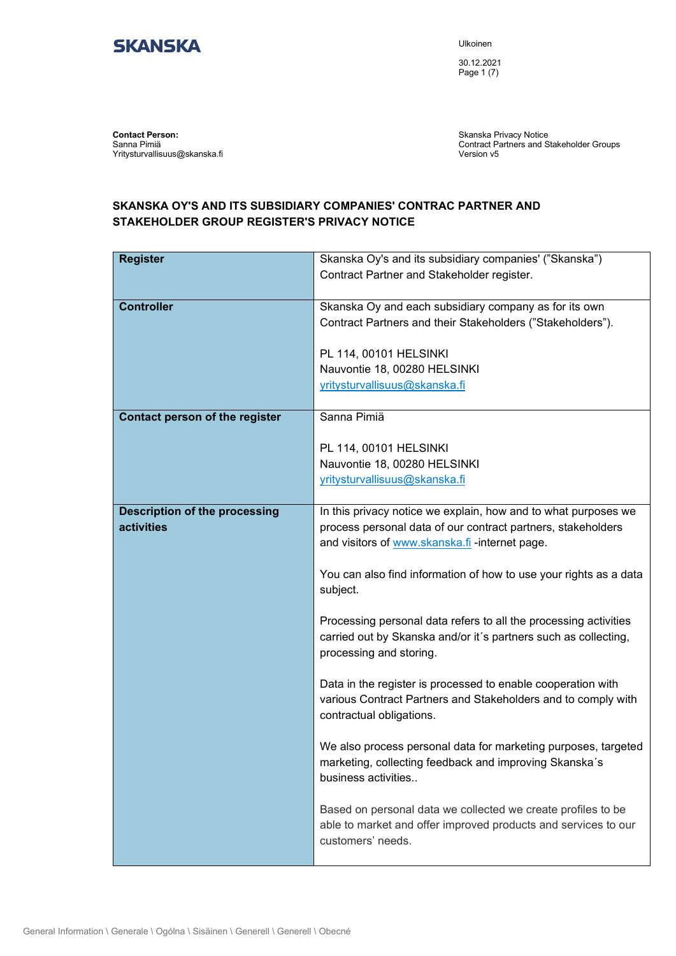

Ulkoinen

30.12.2021 Page 1 (7)

**Contact Person:** Sanna Pimiä Yritysturvallisuus@skanska.fi

Skanska Privacy Notice Contract Partners and Stakeholder Groups Version v5

## **SKANSKA OY'S AND ITS SUBSIDIARY COMPANIES' CONTRAC PARTNER AND STAKEHOLDER GROUP REGISTER'S PRIVACY NOTICE**

| <b>Register</b>                      | Skanska Oy's and its subsidiary companies' ("Skanska")            |
|--------------------------------------|-------------------------------------------------------------------|
|                                      | Contract Partner and Stakeholder register.                        |
|                                      |                                                                   |
| <b>Controller</b>                    | Skanska Oy and each subsidiary company as for its own             |
|                                      | Contract Partners and their Stakeholders ("Stakeholders").        |
|                                      |                                                                   |
|                                      | PL 114, 00101 HELSINKI                                            |
|                                      | Nauvontie 18, 00280 HELSINKI                                      |
|                                      | yritysturvallisuus@skanska.fi                                     |
|                                      |                                                                   |
| Contact person of the register       | Sanna Pimiä                                                       |
|                                      |                                                                   |
|                                      | PL 114, 00101 HELSINKI                                            |
|                                      | Nauvontie 18, 00280 HELSINKI                                      |
|                                      | yritysturvallisuus@skanska.fi                                     |
|                                      |                                                                   |
| <b>Description of the processing</b> | In this privacy notice we explain, how and to what purposes we    |
| activities                           | process personal data of our contract partners, stakeholders      |
|                                      | and visitors of www.skanska.fi -internet page.                    |
|                                      |                                                                   |
|                                      | You can also find information of how to use your rights as a data |
|                                      | subject.                                                          |
|                                      |                                                                   |
|                                      | Processing personal data refers to all the processing activities  |
|                                      | carried out by Skanska and/or it's partners such as collecting,   |
|                                      | processing and storing.                                           |
|                                      |                                                                   |
|                                      | Data in the register is processed to enable cooperation with      |
|                                      | various Contract Partners and Stakeholders and to comply with     |
|                                      | contractual obligations.                                          |
|                                      |                                                                   |
|                                      | We also process personal data for marketing purposes, targeted    |
|                                      | marketing, collecting feedback and improving Skanska's            |
|                                      | business activities                                               |
|                                      |                                                                   |
|                                      | Based on personal data we collected we create profiles to be      |
|                                      | able to market and offer improved products and services to our    |
|                                      | customers' needs.                                                 |
|                                      |                                                                   |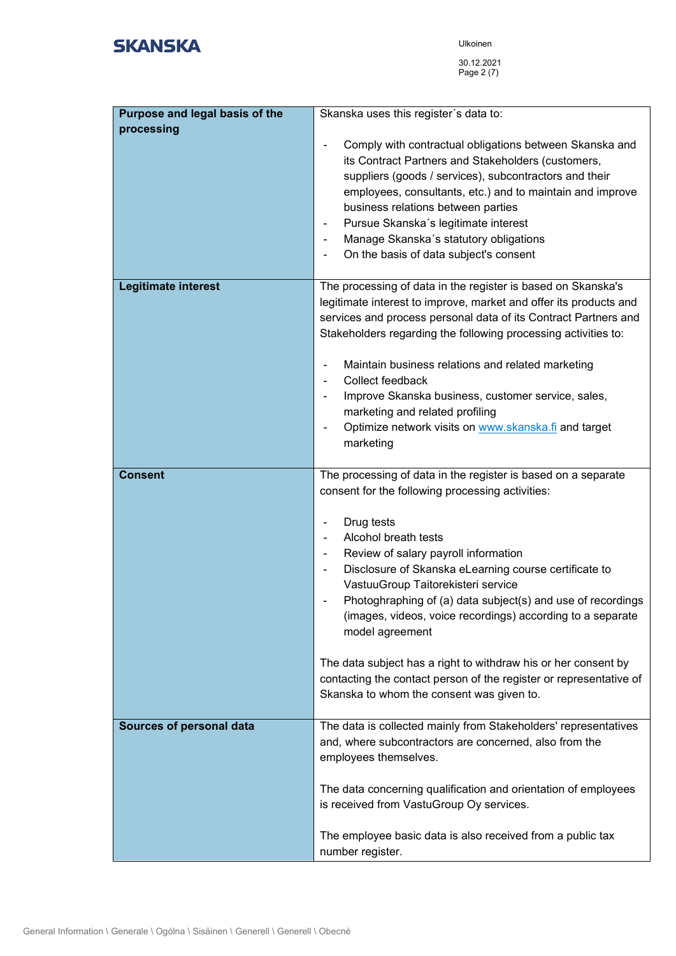| Purpose and legal basis of the  | Skanska uses this register's data to:                                                                                                |
|---------------------------------|--------------------------------------------------------------------------------------------------------------------------------------|
| processing                      |                                                                                                                                      |
|                                 | Comply with contractual obligations between Skanska and<br>its Contract Partners and Stakeholders (customers,                        |
|                                 | suppliers (goods / services), subcontractors and their                                                                               |
|                                 | employees, consultants, etc.) and to maintain and improve                                                                            |
|                                 | business relations between parties                                                                                                   |
|                                 | Pursue Skanska's legitimate interest                                                                                                 |
|                                 | Manage Skanska's statutory obligations                                                                                               |
|                                 | On the basis of data subject's consent<br>$\blacksquare$                                                                             |
|                                 |                                                                                                                                      |
| Legitimate interest             | The processing of data in the register is based on Skanska's                                                                         |
|                                 | legitimate interest to improve, market and offer its products and                                                                    |
|                                 | services and process personal data of its Contract Partners and                                                                      |
|                                 | Stakeholders regarding the following processing activities to:                                                                       |
|                                 | Maintain business relations and related marketing                                                                                    |
|                                 | Collect feedback                                                                                                                     |
|                                 | Improve Skanska business, customer service, sales,<br>marketing and related profiling                                                |
|                                 | Optimize network visits on www.skanska.fi and target                                                                                 |
|                                 | marketing                                                                                                                            |
|                                 |                                                                                                                                      |
| <b>Consent</b>                  | The processing of data in the register is based on a separate                                                                        |
|                                 | consent for the following processing activities:                                                                                     |
|                                 | Drug tests                                                                                                                           |
|                                 | Alcohol breath tests                                                                                                                 |
|                                 | Review of salary payroll information                                                                                                 |
|                                 | Disclosure of Skanska eLearning course certificate to                                                                                |
|                                 | VastuuGroup Taitorekisteri service                                                                                                   |
|                                 | Photoghraphing of (a) data subject(s) and use of recordings                                                                          |
|                                 | (images, videos, voice recordings) according to a separate                                                                           |
|                                 | model agreement                                                                                                                      |
|                                 |                                                                                                                                      |
|                                 | The data subject has a right to withdraw his or her consent by<br>contacting the contact person of the register or representative of |
|                                 | Skanska to whom the consent was given to.                                                                                            |
|                                 |                                                                                                                                      |
| <b>Sources of personal data</b> | The data is collected mainly from Stakeholders' representatives                                                                      |
|                                 | and, where subcontractors are concerned, also from the                                                                               |
|                                 | employees themselves.                                                                                                                |
|                                 | The data concerning qualification and orientation of employees                                                                       |
|                                 | is received from VastuGroup Oy services.                                                                                             |
|                                 |                                                                                                                                      |
|                                 | The employee basic data is also received from a public tax                                                                           |
|                                 | number register.                                                                                                                     |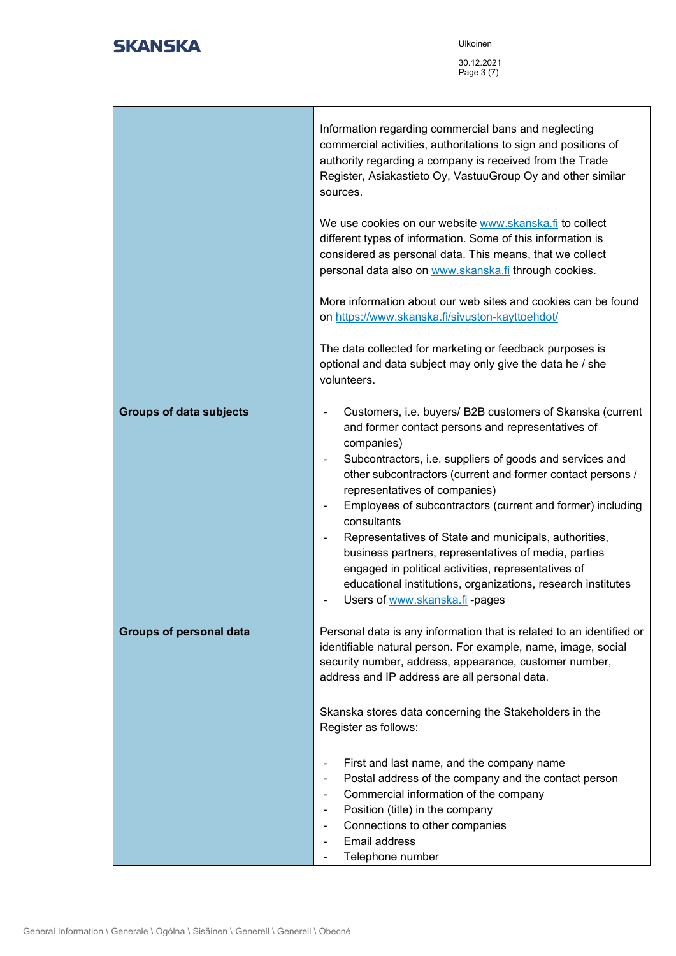|                                | Information regarding commercial bans and neglecting<br>commercial activities, authoritations to sign and positions of<br>authority regarding a company is received from the Trade<br>Register, Asiakastieto Oy, VastuuGroup Oy and other similar<br>sources.<br>We use cookies on our website www.skanska.fi to collect<br>different types of information. Some of this information is<br>considered as personal data. This means, that we collect<br>personal data also on www.skanska.fi through cookies.<br>More information about our web sites and cookies can be found<br>on https://www.skanska.fi/sivuston-kayttoehdot/<br>The data collected for marketing or feedback purposes is<br>optional and data subject may only give the data he / she<br>volunteers. |
|--------------------------------|--------------------------------------------------------------------------------------------------------------------------------------------------------------------------------------------------------------------------------------------------------------------------------------------------------------------------------------------------------------------------------------------------------------------------------------------------------------------------------------------------------------------------------------------------------------------------------------------------------------------------------------------------------------------------------------------------------------------------------------------------------------------------|
| <b>Groups of data subjects</b> | Customers, i.e. buyers/ B2B customers of Skanska (current<br>and former contact persons and representatives of<br>companies)<br>Subcontractors, i.e. suppliers of goods and services and<br>other subcontractors (current and former contact persons /<br>representatives of companies)<br>Employees of subcontractors (current and former) including<br>consultants<br>Representatives of State and municipals, authorities,<br>۰<br>business partners, representatives of media, parties<br>engaged in political activities, representatives of<br>educational institutions, organizations, research institutes<br>Users of www.skanska.fi -pages                                                                                                                      |
| <b>Groups of personal data</b> | Personal data is any information that is related to an identified or<br>identifiable natural person. For example, name, image, social<br>security number, address, appearance, customer number,<br>address and IP address are all personal data.<br>Skanska stores data concerning the Stakeholders in the<br>Register as follows:<br>First and last name, and the company name<br>Postal address of the company and the contact person<br>Commercial information of the company<br>۰<br>Position (title) in the company<br>Connections to other companies<br>Email address<br>Telephone number                                                                                                                                                                          |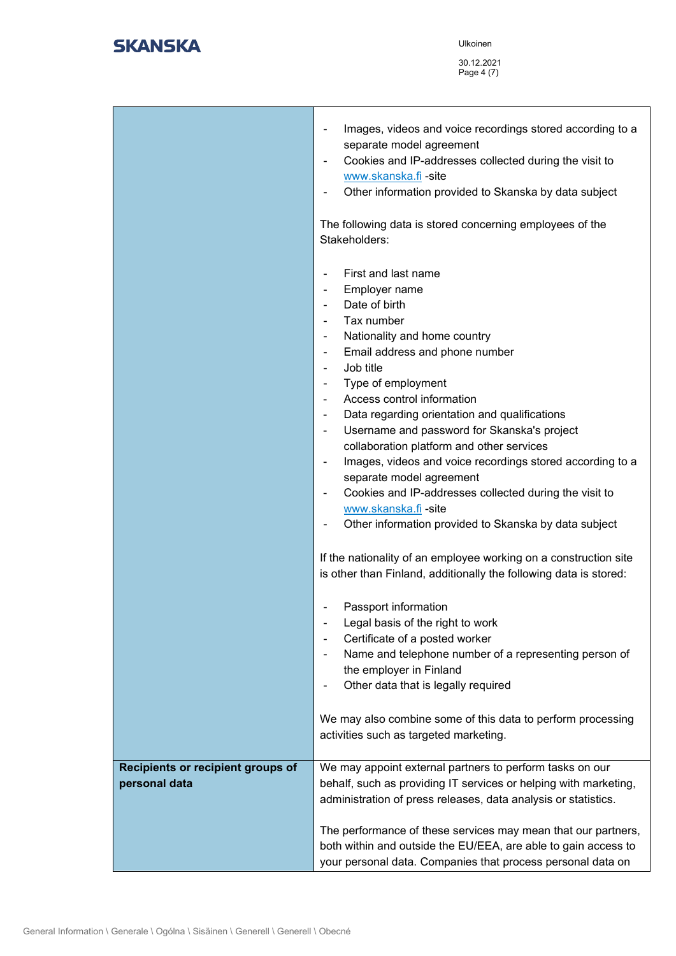Ulkoinen

30.12.2021 Page 4 (7)

|                                                    | Images, videos and voice recordings stored according to a<br>۰<br>separate model agreement<br>Cookies and IP-addresses collected during the visit to<br>$\blacksquare$<br>www.skanska.fi - site<br>Other information provided to Skanska by data subject<br>The following data is stored concerning employees of the<br>Stakeholders:                                                                                                                                                                                                                                                                                                                                                                                                                                                                                                  |
|----------------------------------------------------|----------------------------------------------------------------------------------------------------------------------------------------------------------------------------------------------------------------------------------------------------------------------------------------------------------------------------------------------------------------------------------------------------------------------------------------------------------------------------------------------------------------------------------------------------------------------------------------------------------------------------------------------------------------------------------------------------------------------------------------------------------------------------------------------------------------------------------------|
|                                                    | First and last name<br>$\blacksquare$<br>Employer name<br>$\qquad \qquad \blacksquare$<br>Date of birth<br>$\blacksquare$<br>Tax number<br>Nationality and home country<br>$\blacksquare$<br>Email address and phone number<br>$\overline{\phantom{a}}$<br>Job title<br>$\overline{\phantom{a}}$<br>Type of employment<br>$\qquad \qquad \blacksquare$<br>Access control information<br>Data regarding orientation and qualifications<br>$\overline{\phantom{a}}$<br>Username and password for Skanska's project<br>$\qquad \qquad \blacksquare$<br>collaboration platform and other services<br>Images, videos and voice recordings stored according to a<br>÷<br>separate model agreement<br>Cookies and IP-addresses collected during the visit to<br>www.skanska.fi -site<br>Other information provided to Skanska by data subject |
|                                                    | If the nationality of an employee working on a construction site<br>is other than Finland, additionally the following data is stored:<br>Passport information<br>Legal basis of the right to work<br>Certificate of a posted worker<br>Name and telephone number of a representing person of<br>the employer in Finland<br>Other data that is legally required<br>We may also combine some of this data to perform processing<br>activities such as targeted marketing.                                                                                                                                                                                                                                                                                                                                                                |
| Recipients or recipient groups of<br>personal data | We may appoint external partners to perform tasks on our<br>behalf, such as providing IT services or helping with marketing,<br>administration of press releases, data analysis or statistics.<br>The performance of these services may mean that our partners,<br>both within and outside the EU/EEA, are able to gain access to<br>your personal data. Companies that process personal data on                                                                                                                                                                                                                                                                                                                                                                                                                                       |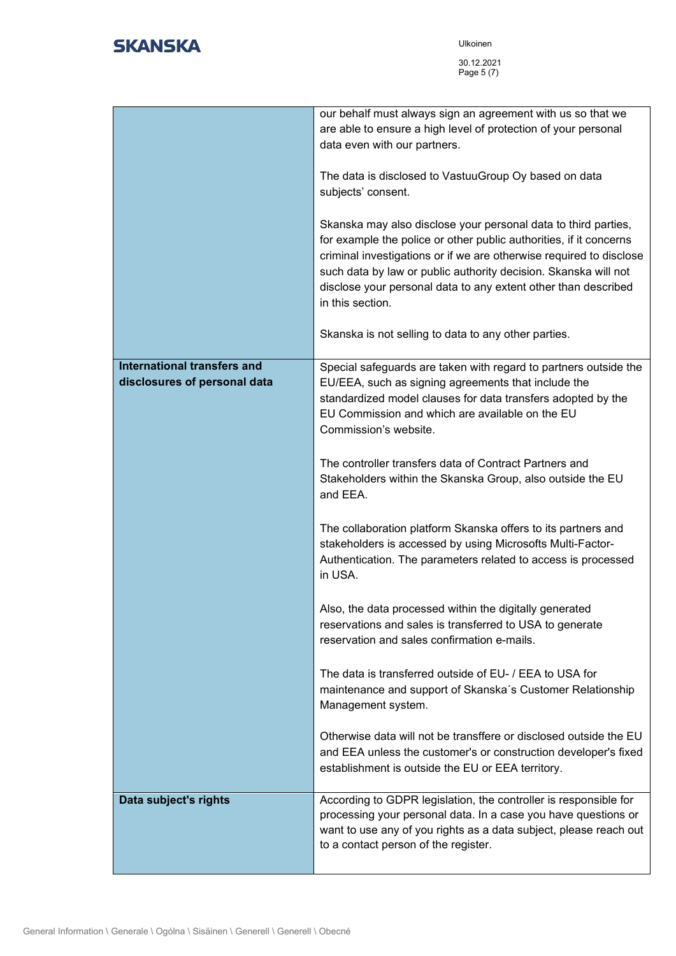Ulkoinen 30.12.2021 Page 5 (7)

|                                                             | our behalf must always sign an agreement with us so that we<br>are able to ensure a high level of protection of your personal<br>data even with our partners.<br>The data is disclosed to VastuuGroup Oy based on data<br>subjects' consent.<br>Skanska may also disclose your personal data to third parties,<br>for example the police or other public authorities, if it concerns<br>criminal investigations or if we are otherwise required to disclose<br>such data by law or public authority decision. Skanska will not<br>disclose your personal data to any extent other than described<br>in this section.<br>Skanska is not selling to data to any other parties.                                                                                                                                                                                                                                                                                                                                                                                                                                                         |
|-------------------------------------------------------------|--------------------------------------------------------------------------------------------------------------------------------------------------------------------------------------------------------------------------------------------------------------------------------------------------------------------------------------------------------------------------------------------------------------------------------------------------------------------------------------------------------------------------------------------------------------------------------------------------------------------------------------------------------------------------------------------------------------------------------------------------------------------------------------------------------------------------------------------------------------------------------------------------------------------------------------------------------------------------------------------------------------------------------------------------------------------------------------------------------------------------------------|
| International transfers and<br>disclosures of personal data | Special safeguards are taken with regard to partners outside the<br>EU/EEA, such as signing agreements that include the<br>standardized model clauses for data transfers adopted by the<br>EU Commission and which are available on the EU<br>Commission's website.<br>The controller transfers data of Contract Partners and<br>Stakeholders within the Skanska Group, also outside the EU<br>and EEA.<br>The collaboration platform Skanska offers to its partners and<br>stakeholders is accessed by using Microsofts Multi-Factor-<br>Authentication. The parameters related to access is processed<br>in USA.<br>Also, the data processed within the digitally generated<br>reservations and sales is transferred to USA to generate<br>reservation and sales confirmation e-mails.<br>The data is transferred outside of EU- / EEA to USA for<br>maintenance and support of Skanska's Customer Relationship<br>Management system.<br>Otherwise data will not be transffere or disclosed outside the EU<br>and EEA unless the customer's or construction developer's fixed<br>establishment is outside the EU or EEA territory. |
| Data subject's rights                                       | According to GDPR legislation, the controller is responsible for<br>processing your personal data. In a case you have questions or<br>want to use any of you rights as a data subject, please reach out<br>to a contact person of the register.                                                                                                                                                                                                                                                                                                                                                                                                                                                                                                                                                                                                                                                                                                                                                                                                                                                                                      |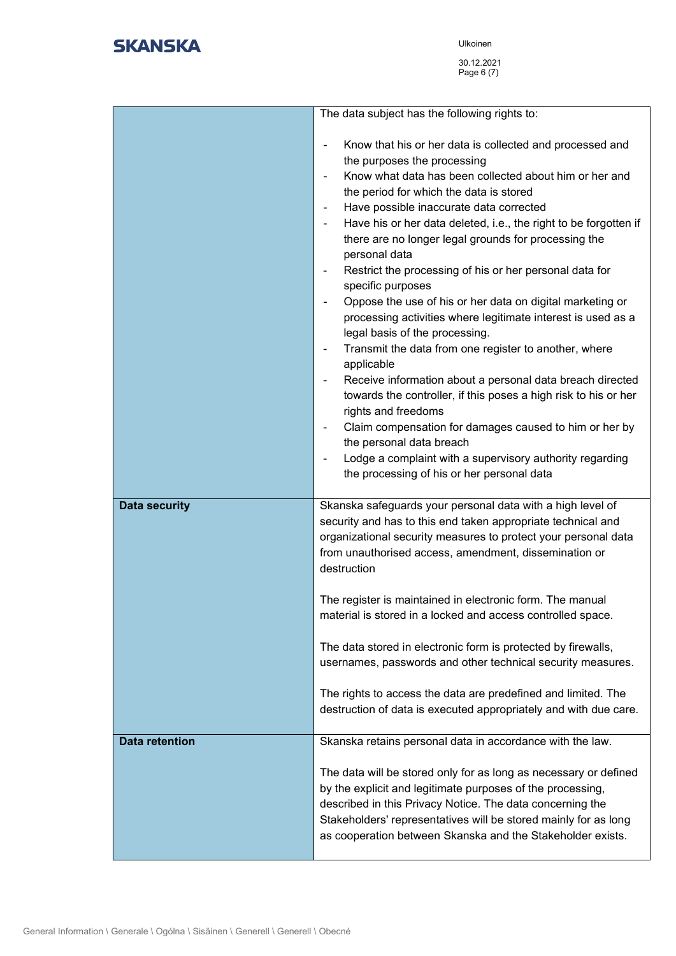|                       | The data subject has the following rights to:                                                                                                                                                                                                                                                                                                                                                                                                                                                                                                                                                                                                                                                                                                                                                                                                                                                                                                                                                                                                                                                             |
|-----------------------|-----------------------------------------------------------------------------------------------------------------------------------------------------------------------------------------------------------------------------------------------------------------------------------------------------------------------------------------------------------------------------------------------------------------------------------------------------------------------------------------------------------------------------------------------------------------------------------------------------------------------------------------------------------------------------------------------------------------------------------------------------------------------------------------------------------------------------------------------------------------------------------------------------------------------------------------------------------------------------------------------------------------------------------------------------------------------------------------------------------|
|                       | Know that his or her data is collected and processed and<br>÷<br>the purposes the processing<br>Know what data has been collected about him or her and<br>٠<br>the period for which the data is stored<br>Have possible inaccurate data corrected<br>٠<br>Have his or her data deleted, i.e., the right to be forgotten if<br>٠<br>there are no longer legal grounds for processing the<br>personal data<br>Restrict the processing of his or her personal data for<br>-<br>specific purposes<br>Oppose the use of his or her data on digital marketing or<br>processing activities where legitimate interest is used as a<br>legal basis of the processing.<br>Transmit the data from one register to another, where<br>٠<br>applicable<br>Receive information about a personal data breach directed<br>٠<br>towards the controller, if this poses a high risk to his or her<br>rights and freedoms<br>Claim compensation for damages caused to him or her by<br>-<br>the personal data breach<br>Lodge a complaint with a supervisory authority regarding<br>the processing of his or her personal data |
| <b>Data security</b>  | Skanska safeguards your personal data with a high level of<br>security and has to this end taken appropriate technical and<br>organizational security measures to protect your personal data<br>from unauthorised access, amendment, dissemination or<br>destruction<br>The register is maintained in electronic form. The manual<br>material is stored in a locked and access controlled space.                                                                                                                                                                                                                                                                                                                                                                                                                                                                                                                                                                                                                                                                                                          |
|                       | The data stored in electronic form is protected by firewalls,<br>usernames, passwords and other technical security measures.<br>The rights to access the data are predefined and limited. The<br>destruction of data is executed appropriately and with due care.                                                                                                                                                                                                                                                                                                                                                                                                                                                                                                                                                                                                                                                                                                                                                                                                                                         |
| <b>Data retention</b> | Skanska retains personal data in accordance with the law.<br>The data will be stored only for as long as necessary or defined<br>by the explicit and legitimate purposes of the processing,<br>described in this Privacy Notice. The data concerning the<br>Stakeholders' representatives will be stored mainly for as long<br>as cooperation between Skanska and the Stakeholder exists.                                                                                                                                                                                                                                                                                                                                                                                                                                                                                                                                                                                                                                                                                                                 |